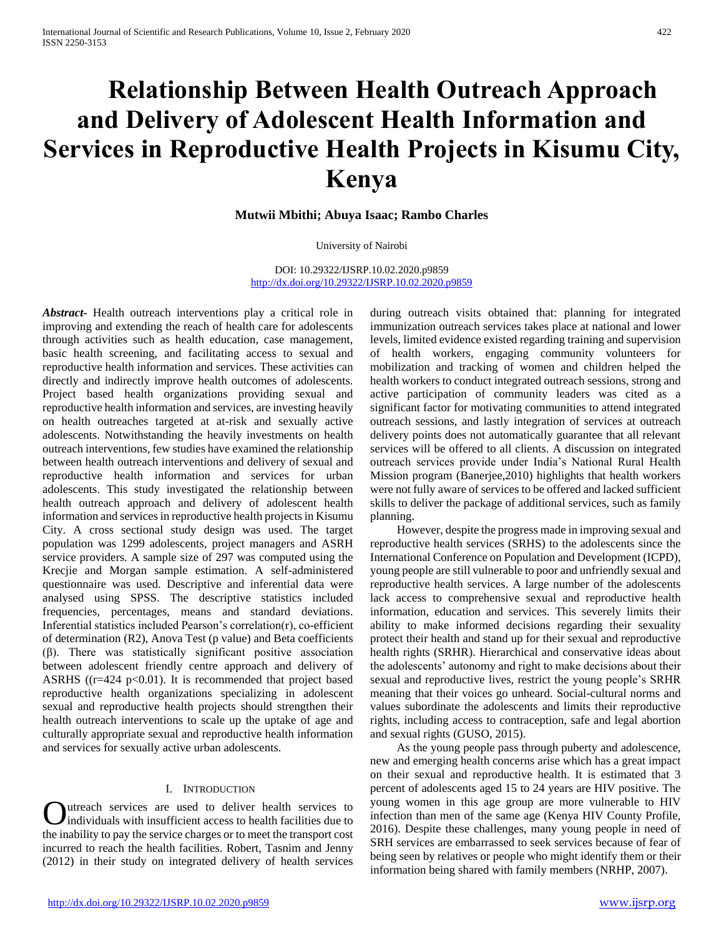# **Relationship Between Health Outreach Approach and Delivery of Adolescent Health Information and Services in Reproductive Health Projects in Kisumu City, Kenya**

# **Mutwii Mbithi; Abuya Isaac; Rambo Charles**

#### University of Nairobi

DOI: 10.29322/IJSRP.10.02.2020.p9859 <http://dx.doi.org/10.29322/IJSRP.10.02.2020.p9859>

*Abstract***-** Health outreach interventions play a critical role in improving and extending the reach of health care for adolescents through activities such as health education, case management, basic health screening, and facilitating access to sexual and reproductive health information and services. These activities can directly and indirectly improve health outcomes of adolescents. Project based health organizations providing sexual and reproductive health information and services, are investing heavily on health outreaches targeted at at-risk and sexually active adolescents. Notwithstanding the heavily investments on health outreach interventions, few studies have examined the relationship between health outreach interventions and delivery of sexual and reproductive health information and services for urban adolescents. This study investigated the relationship between health outreach approach and delivery of adolescent health information and services in reproductive health projects in Kisumu City. A cross sectional study design was used. The target population was 1299 adolescents, project managers and ASRH service providers. A sample size of 297 was computed using the Krecjie and Morgan sample estimation. A self-administered questionnaire was used. Descriptive and inferential data were analysed using SPSS. The descriptive statistics included frequencies, percentages, means and standard deviations. Inferential statistics included Pearson's correlation(r), co-efficient of determination (R2), Anova Test (p value) and Beta coefficients (β). There was statistically significant positive association between adolescent friendly centre approach and delivery of ASRHS ( $(r=424 \text{ p} < 0.01)$ ). It is recommended that project based reproductive health organizations specializing in adolescent sexual and reproductive health projects should strengthen their health outreach interventions to scale up the uptake of age and culturally appropriate sexual and reproductive health information and services for sexually active urban adolescents.

## I. INTRODUCTION

utreach services are used to deliver health services to Individuals with insufficient access to health facilities due to **C** utreach services are used to deliver health services to individuals with insufficient access to health facilities due to the inability to pay the service charges or to meet the transport cost incurred to reach the health facilities. Robert, Tasnim and Jenny (2012) in their study on integrated delivery of health services

during outreach visits obtained that: planning for integrated immunization outreach services takes place at national and lower levels, limited evidence existed regarding training and supervision of health workers, engaging community volunteers for mobilization and tracking of women and children helped the health workers to conduct integrated outreach sessions, strong and active participation of community leaders was cited as a significant factor for motivating communities to attend integrated outreach sessions, and lastly integration of services at outreach delivery points does not automatically guarantee that all relevant services will be offered to all clients. A discussion on integrated outreach services provide under India's National Rural Health Mission program (Banerjee,2010) highlights that health workers were not fully aware of services to be offered and lacked sufficient skills to deliver the package of additional services, such as family planning.

 However, despite the progress made in improving sexual and reproductive health services (SRHS) to the adolescents since the International Conference on Population and Development (ICPD), young people are still vulnerable to poor and unfriendly sexual and reproductive health services. A large number of the adolescents lack access to comprehensive sexual and reproductive health information, education and services. This severely limits their ability to make informed decisions regarding their sexuality protect their health and stand up for their sexual and reproductive health rights (SRHR). Hierarchical and conservative ideas about the adolescents' autonomy and right to make decisions about their sexual and reproductive lives, restrict the young people's SRHR meaning that their voices go unheard. Social-cultural norms and values subordinate the adolescents and limits their reproductive rights, including access to contraception, safe and legal abortion and sexual rights (GUSO, 2015).

 As the young people pass through puberty and adolescence, new and emerging health concerns arise which has a great impact on their sexual and reproductive health. It is estimated that 3 percent of adolescents aged 15 to 24 years are HIV positive. The young women in this age group are more vulnerable to HIV infection than men of the same age (Kenya HIV County Profile, 2016). Despite these challenges, many young people in need of SRH services are embarrassed to seek services because of fear of being seen by relatives or people who might identify them or their information being shared with family members (NRHP, 2007).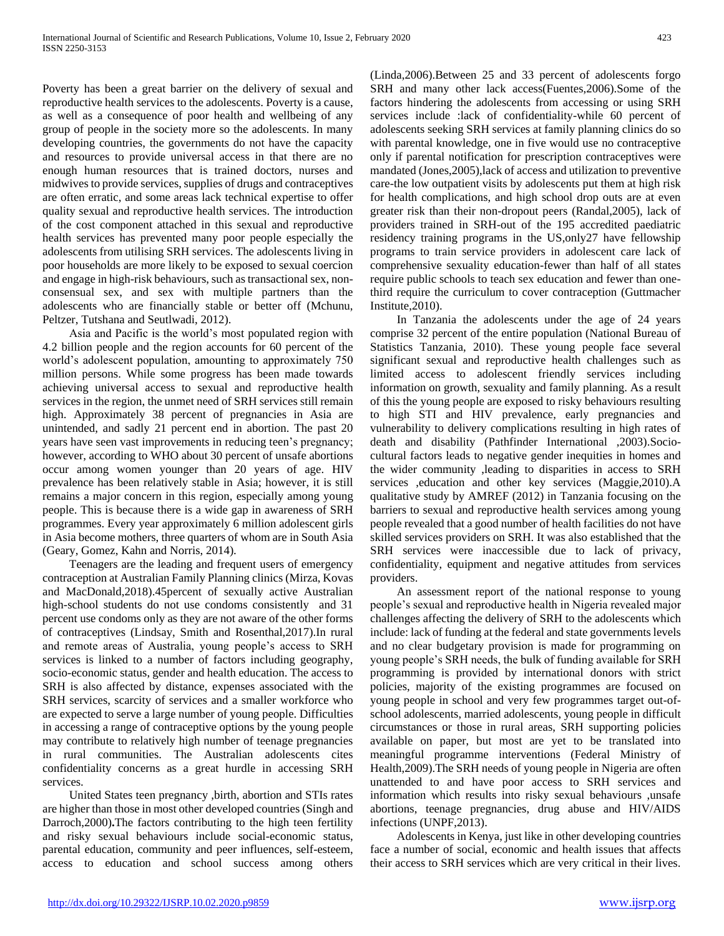Poverty has been a great barrier on the delivery of sexual and reproductive health services to the adolescents. Poverty is a cause, as well as a consequence of poor health and wellbeing of any group of people in the society more so the adolescents. In many developing countries, the governments do not have the capacity and resources to provide universal access in that there are no enough human resources that is trained doctors, nurses and midwives to provide services, supplies of drugs and contraceptives are often erratic, and some areas lack technical expertise to offer quality sexual and reproductive health services. The introduction of the cost component attached in this sexual and reproductive health services has prevented many poor people especially the adolescents from utilising SRH services. The adolescents living in poor households are more likely to be exposed to sexual coercion and engage in high-risk behaviours, such as transactional sex, nonconsensual sex, and sex with multiple partners than the adolescents who are financially stable or better off (Mchunu, Peltzer, Tutshana and Seutlwadi, 2012).

 Asia and Pacific is the world's most populated region with 4.2 billion people and the region accounts for 60 percent of the world's adolescent population, amounting to approximately 750 million persons. While some progress has been made towards achieving universal access to sexual and reproductive health services in the region, the unmet need of SRH services still remain high. Approximately 38 percent of pregnancies in Asia are unintended, and sadly 21 percent end in abortion. The past 20 years have seen vast improvements in reducing teen's pregnancy; however, according to WHO about 30 percent of unsafe abortions occur among women younger than 20 years of age. HIV prevalence has been relatively stable in Asia; however, it is still remains a major concern in this region, especially among young people. This is because there is a wide gap in awareness of SRH programmes. Every year approximately 6 million adolescent girls in Asia become mothers, three quarters of whom are in South Asia (Geary, Gomez, Kahn and Norris, 2014).

 Teenagers are the leading and frequent users of emergency contraception at Australian Family Planning clinics (Mirza, Kovas and MacDonald,2018).45percent of sexually active Australian high-school students do not use condoms consistently and 31 percent use condoms only as they are not aware of the other forms of contraceptives (Lindsay, Smith and Rosenthal,2017).In rural and remote areas of Australia, young people's access to SRH services is linked to a number of factors including geography, socio-economic status, gender and health education. The access to SRH is also affected by distance, expenses associated with the SRH services, scarcity of services and a smaller workforce who are expected to serve a large number of young people. Difficulties in accessing a range of contraceptive options by the young people may contribute to relatively high number of teenage pregnancies in rural communities. The Australian adolescents cites confidentiality concerns as a great hurdle in accessing SRH services.

 United States teen pregnancy ,birth, abortion and STIs rates are higher than those in most other developed countries (Singh and Darroch,2000)**.**The factors contributing to the high teen fertility and risky sexual behaviours include social-economic status, parental education, community and peer influences, self-esteem, access to education and school success among others

(Linda,2006).Between 25 and 33 percent of adolescents forgo SRH and many other lack access(Fuentes,2006).Some of the factors hindering the adolescents from accessing or using SRH services include :lack of confidentiality-while 60 percent of adolescents seeking SRH services at family planning clinics do so with parental knowledge, one in five would use no contraceptive only if parental notification for prescription contraceptives were mandated (Jones,2005),lack of access and utilization to preventive care-the low outpatient visits by adolescents put them at high risk for health complications, and high school drop outs are at even greater risk than their non-dropout peers (Randal,2005), lack of providers trained in SRH-out of the 195 accredited paediatric residency training programs in the US,only27 have fellowship programs to train service providers in adolescent care lack of comprehensive sexuality education-fewer than half of all states require public schools to teach sex education and fewer than onethird require the curriculum to cover contraception (Guttmacher Institute,2010).

 In Tanzania the adolescents under the age of 24 years comprise 32 percent of the entire population (National Bureau of Statistics Tanzania, 2010). These young people face several significant sexual and reproductive health challenges such as limited access to adolescent friendly services including information on growth, sexuality and family planning. As a result of this the young people are exposed to risky behaviours resulting to high STI and HIV prevalence, early pregnancies and vulnerability to delivery complications resulting in high rates of death and disability (Pathfinder International ,2003).Sociocultural factors leads to negative gender inequities in homes and the wider community ,leading to disparities in access to SRH services ,education and other key services (Maggie,2010).A qualitative study by AMREF (2012) in Tanzania focusing on the barriers to sexual and reproductive health services among young people revealed that a good number of health facilities do not have skilled services providers on SRH. It was also established that the SRH services were inaccessible due to lack of privacy, confidentiality, equipment and negative attitudes from services providers.

 An assessment report of the national response to young people's sexual and reproductive health in Nigeria revealed major challenges affecting the delivery of SRH to the adolescents which include: lack of funding at the federal and state governments levels and no clear budgetary provision is made for programming on young people's SRH needs, the bulk of funding available for SRH programming is provided by international donors with strict policies, majority of the existing programmes are focused on young people in school and very few programmes target out-ofschool adolescents, married adolescents, young people in difficult circumstances or those in rural areas, SRH supporting policies available on paper, but most are yet to be translated into meaningful programme interventions (Federal Ministry of Health,2009).The SRH needs of young people in Nigeria are often unattended to and have poor access to SRH services and information which results into risky sexual behaviours ,unsafe abortions, teenage pregnancies, drug abuse and HIV/AIDS infections (UNPF,2013).

 Adolescents in Kenya, just like in other developing countries face a number of social, economic and health issues that affects their access to SRH services which are very critical in their lives.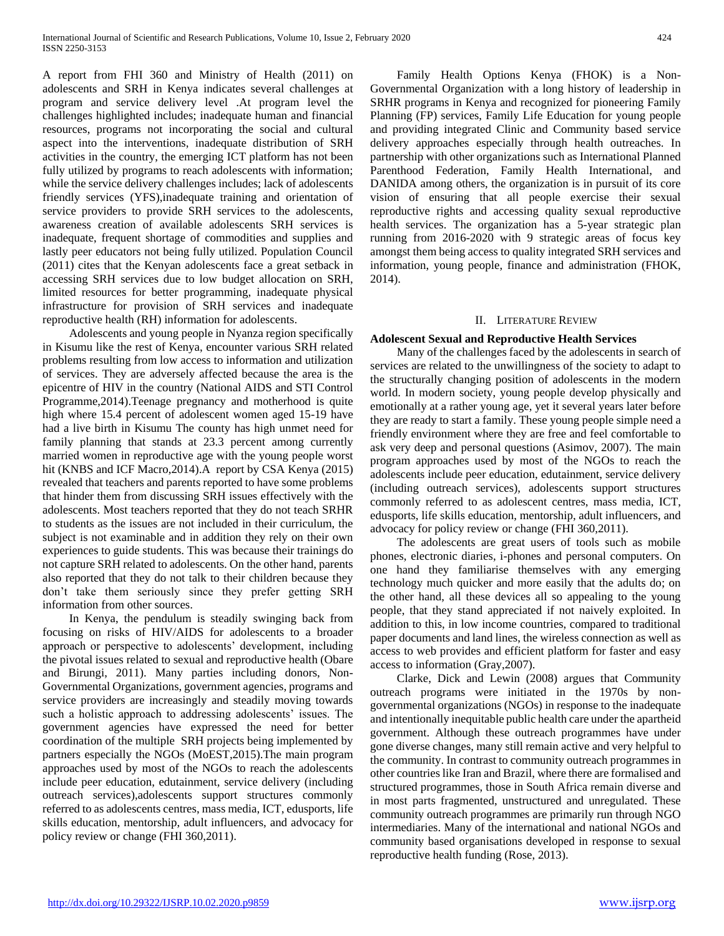A report from FHI 360 and Ministry of Health (2011) on adolescents and SRH in Kenya indicates several challenges at program and service delivery level .At program level the challenges highlighted includes; inadequate human and financial resources, programs not incorporating the social and cultural aspect into the interventions, inadequate distribution of SRH activities in the country, the emerging ICT platform has not been fully utilized by programs to reach adolescents with information; while the service delivery challenges includes; lack of adolescents friendly services (YFS),inadequate training and orientation of service providers to provide SRH services to the adolescents, awareness creation of available adolescents SRH services is inadequate, frequent shortage of commodities and supplies and lastly peer educators not being fully utilized. Population Council (2011) cites that the Kenyan adolescents face a great setback in accessing SRH services due to low budget allocation on SRH, limited resources for better programming, inadequate physical infrastructure for provision of SRH services and inadequate reproductive health (RH) information for adolescents.

 Adolescents and young people in Nyanza region specifically in Kisumu like the rest of Kenya, encounter various SRH related problems resulting from low access to information and utilization of services. They are adversely affected because the area is the epicentre of HIV in the country (National AIDS and STI Control Programme,2014).Teenage pregnancy and motherhood is quite high where 15.4 percent of adolescent women aged 15-19 have had a live birth in Kisumu The county has high unmet need for family planning that stands at 23.3 percent among currently married women in reproductive age with the young people worst hit (KNBS and ICF Macro,2014).A report by CSA Kenya (2015) revealed that teachers and parents reported to have some problems that hinder them from discussing SRH issues effectively with the adolescents. Most teachers reported that they do not teach SRHR to students as the issues are not included in their curriculum, the subject is not examinable and in addition they rely on their own experiences to guide students. This was because their trainings do not capture SRH related to adolescents. On the other hand, parents also reported that they do not talk to their children because they don't take them seriously since they prefer getting SRH information from other sources.

 In Kenya, the pendulum is steadily swinging back from focusing on risks of HIV/AIDS for adolescents to a broader approach or perspective to adolescents' development, including the pivotal issues related to sexual and reproductive health (Obare and Birungi, 2011). Many parties including donors, Non-Governmental Organizations, government agencies, programs and service providers are increasingly and steadily moving towards such a holistic approach to addressing adolescents' issues. The government agencies have expressed the need for better coordination of the multiple SRH projects being implemented by partners especially the NGOs (MoEST,2015).The main program approaches used by most of the NGOs to reach the adolescents include peer education, edutainment, service delivery (including outreach services),adolescents support structures commonly referred to as adolescents centres, mass media, ICT, edusports, life skills education, mentorship, adult influencers, and advocacy for policy review or change (FHI 360,2011).

 Family Health Options Kenya (FHOK) is a Non-Governmental Organization with a long history of leadership in SRHR programs in Kenya and recognized for pioneering Family Planning (FP) services, Family Life Education for young people and providing integrated Clinic and Community based service delivery approaches especially through health outreaches. In partnership with other organizations such as International Planned Parenthood Federation, Family Health International, and DANIDA among others, the organization is in pursuit of its core vision of ensuring that all people exercise their sexual reproductive rights and accessing quality sexual reproductive health services. The organization has a 5-year strategic plan running from 2016-2020 with 9 strategic areas of focus key amongst them being access to quality integrated SRH services and information, young people, finance and administration (FHOK, 2014).

#### II. LITERATURE REVIEW

#### **Adolescent Sexual and Reproductive Health Services**

 Many of the challenges faced by the adolescents in search of services are related to the unwillingness of the society to adapt to the structurally changing position of adolescents in the modern world. In modern society, young people develop physically and emotionally at a rather young age, yet it several years later before they are ready to start a family. These young people simple need a friendly environment where they are free and feel comfortable to ask very deep and personal questions (Asimov, 2007). The main program approaches used by most of the NGOs to reach the adolescents include peer education, edutainment, service delivery (including outreach services), adolescents support structures commonly referred to as adolescent centres, mass media, ICT, edusports, life skills education, mentorship, adult influencers, and advocacy for policy review or change (FHI 360,2011).

 The adolescents are great users of tools such as mobile phones, electronic diaries, i-phones and personal computers. On one hand they familiarise themselves with any emerging technology much quicker and more easily that the adults do; on the other hand, all these devices all so appealing to the young people, that they stand appreciated if not naively exploited. In addition to this, in low income countries, compared to traditional paper documents and land lines, the wireless connection as well as access to web provides and efficient platform for faster and easy access to information (Gray,2007).

 Clarke, Dick and Lewin (2008) argues that Community outreach programs were initiated in the 1970s by nongovernmental organizations (NGOs) in response to the inadequate and intentionally inequitable public health care under the apartheid government. Although these outreach programmes have under gone diverse changes, many still remain active and very helpful to the community. In contrast to community outreach programmes in other countries like Iran and Brazil, where there are formalised and structured programmes, those in South Africa remain diverse and in most parts fragmented, unstructured and unregulated. These community outreach programmes are primarily run through NGO intermediaries. Many of the international and national NGOs and community based organisations developed in response to sexual reproductive health funding (Rose, 2013).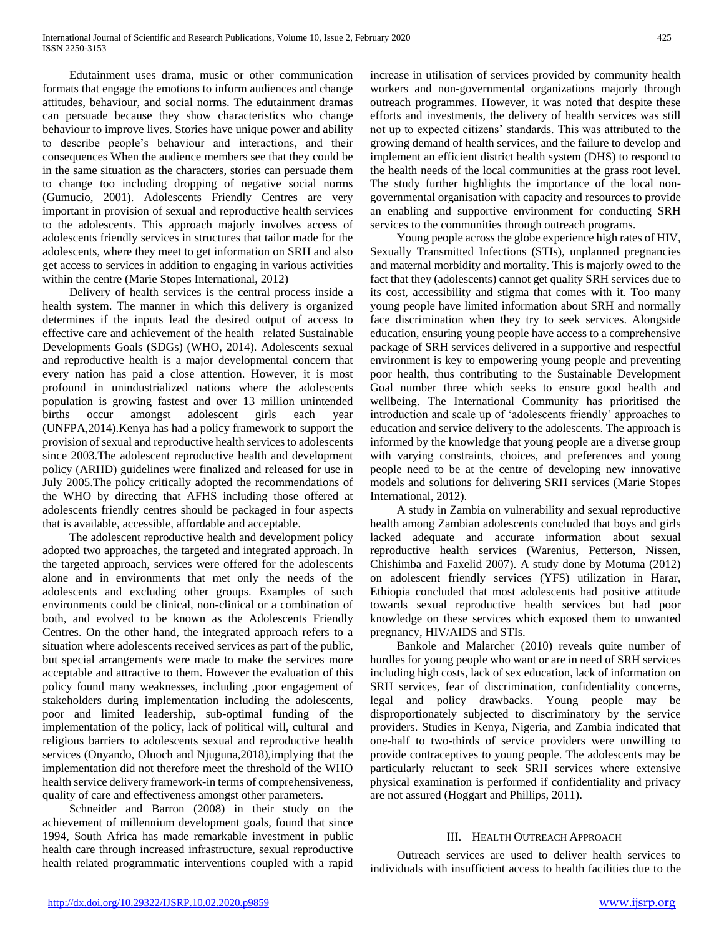Edutainment uses drama, music or other communication formats that engage the emotions to inform audiences and change attitudes, behaviour, and social norms. The edutainment dramas can persuade because they show characteristics who change behaviour to improve lives. Stories have unique power and ability to describe people's behaviour and interactions, and their consequences When the audience members see that they could be in the same situation as the characters, stories can persuade them to change too including dropping of negative social norms (Gumucio, 2001). Adolescents Friendly Centres are very important in provision of sexual and reproductive health services to the adolescents. This approach majorly involves access of adolescents friendly services in structures that tailor made for the adolescents, where they meet to get information on SRH and also get access to services in addition to engaging in various activities within the centre (Marie Stopes International, 2012)

 Delivery of health services is the central process inside a health system. The manner in which this delivery is organized determines if the inputs lead the desired output of access to effective care and achievement of the health –related Sustainable Developments Goals (SDGs) (WHO, 2014). Adolescents sexual and reproductive health is a major developmental concern that every nation has paid a close attention. However, it is most profound in unindustrialized nations where the adolescents population is growing fastest and over 13 million unintended births occur amongst adolescent girls each year (UNFPA,2014).Kenya has had a policy framework to support the provision of sexual and reproductive health services to adolescents since 2003.The adolescent reproductive health and development policy (ARHD) guidelines were finalized and released for use in July 2005.The policy critically adopted the recommendations of the WHO by directing that AFHS including those offered at adolescents friendly centres should be packaged in four aspects that is available, accessible, affordable and acceptable.

 The adolescent reproductive health and development policy adopted two approaches, the targeted and integrated approach. In the targeted approach, services were offered for the adolescents alone and in environments that met only the needs of the adolescents and excluding other groups. Examples of such environments could be clinical, non-clinical or a combination of both, and evolved to be known as the Adolescents Friendly Centres. On the other hand, the integrated approach refers to a situation where adolescents received services as part of the public, but special arrangements were made to make the services more acceptable and attractive to them. However the evaluation of this policy found many weaknesses, including ,poor engagement of stakeholders during implementation including the adolescents, poor and limited leadership, sub-optimal funding of the implementation of the policy, lack of political will, cultural and religious barriers to adolescents sexual and reproductive health services (Onyando, Oluoch and Njuguna,2018),implying that the implementation did not therefore meet the threshold of the WHO health service delivery framework-in terms of comprehensiveness, quality of care and effectiveness amongst other parameters.

 Schneider and Barron (2008) in their study on the achievement of millennium development goals, found that since 1994, South Africa has made remarkable investment in public health care through increased infrastructure, sexual reproductive health related programmatic interventions coupled with a rapid

increase in utilisation of services provided by community health workers and non-governmental organizations majorly through outreach programmes. However, it was noted that despite these efforts and investments, the delivery of health services was still not up to expected citizens' standards. This was attributed to the growing demand of health services, and the failure to develop and implement an efficient district health system (DHS) to respond to the health needs of the local communities at the grass root level. The study further highlights the importance of the local nongovernmental organisation with capacity and resources to provide an enabling and supportive environment for conducting SRH services to the communities through outreach programs.

 Young people across the globe experience high rates of HIV, Sexually Transmitted Infections (STIs), unplanned pregnancies and maternal morbidity and mortality. This is majorly owed to the fact that they (adolescents) cannot get quality SRH services due to its cost, accessibility and stigma that comes with it. Too many young people have limited information about SRH and normally face discrimination when they try to seek services. Alongside education, ensuring young people have access to a comprehensive package of SRH services delivered in a supportive and respectful environment is key to empowering young people and preventing poor health, thus contributing to the Sustainable Development Goal number three which seeks to ensure good health and wellbeing. The International Community has prioritised the introduction and scale up of 'adolescents friendly' approaches to education and service delivery to the adolescents. The approach is informed by the knowledge that young people are a diverse group with varying constraints, choices, and preferences and young people need to be at the centre of developing new innovative models and solutions for delivering SRH services (Marie Stopes International, 2012).

 A study in Zambia on vulnerability and sexual reproductive health among Zambian adolescents concluded that boys and girls lacked adequate and accurate information about sexual reproductive health services (Warenius, Petterson, Nissen, Chishimba and Faxelid 2007). A study done by Motuma (2012) on adolescent friendly services (YFS) utilization in Harar, Ethiopia concluded that most adolescents had positive attitude towards sexual reproductive health services but had poor knowledge on these services which exposed them to unwanted pregnancy, HIV/AIDS and STIs.

 Bankole and Malarcher (2010) reveals quite number of hurdles for young people who want or are in need of SRH services including high costs, lack of sex education, lack of information on SRH services, fear of discrimination, confidentiality concerns, legal and policy drawbacks. Young people may be disproportionately subjected to discriminatory by the service providers. Studies in Kenya, Nigeria, and Zambia indicated that one-half to two-thirds of service providers were unwilling to provide contraceptives to young people. The adolescents may be particularly reluctant to seek SRH services where extensive physical examination is performed if confidentiality and privacy are not assured (Hoggart and Phillips, 2011).

## III. HEALTH OUTREACH APPROACH

 Outreach services are used to deliver health services to individuals with insufficient access to health facilities due to the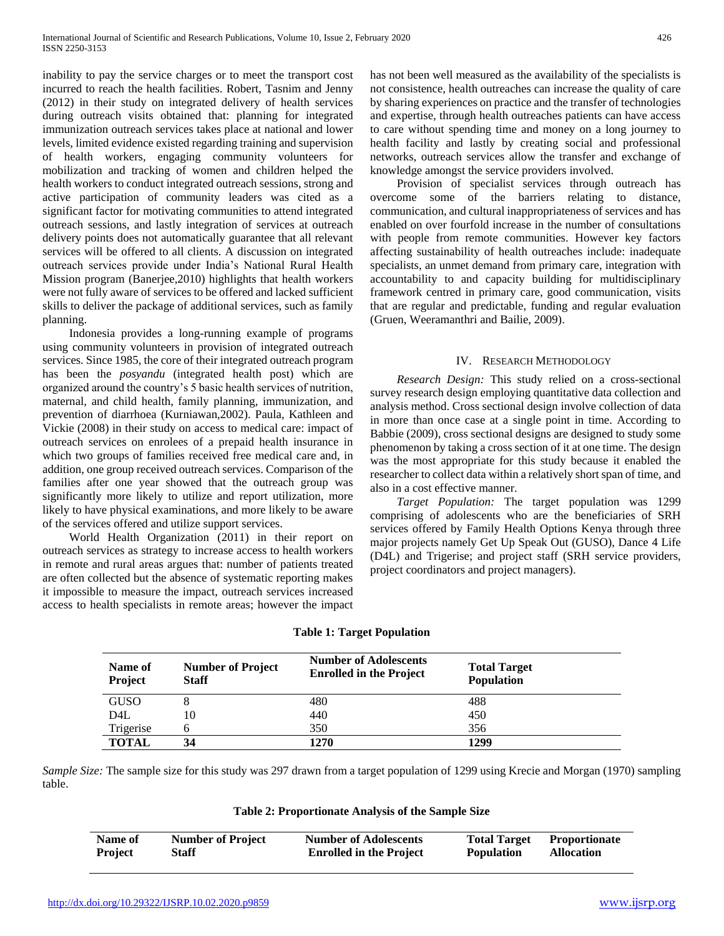inability to pay the service charges or to meet the transport cost incurred to reach the health facilities. Robert, Tasnim and Jenny (2012) in their study on integrated delivery of health services during outreach visits obtained that: planning for integrated immunization outreach services takes place at national and lower levels, limited evidence existed regarding training and supervision of health workers, engaging community volunteers for mobilization and tracking of women and children helped the health workers to conduct integrated outreach sessions, strong and active participation of community leaders was cited as a significant factor for motivating communities to attend integrated outreach sessions, and lastly integration of services at outreach delivery points does not automatically guarantee that all relevant services will be offered to all clients. A discussion on integrated outreach services provide under India's National Rural Health Mission program (Banerjee,2010) highlights that health workers were not fully aware of services to be offered and lacked sufficient skills to deliver the package of additional services, such as family planning.

 Indonesia provides a long-running example of programs using community volunteers in provision of integrated outreach services. Since 1985, the core of their integrated outreach program has been the *posyandu* (integrated health post) which are organized around the country's 5 basic health services of nutrition, maternal, and child health, family planning, immunization, and prevention of diarrhoea (Kurniawan,2002). Paula, Kathleen and Vickie (2008) in their study on access to medical care: impact of outreach services on enrolees of a prepaid health insurance in which two groups of families received free medical care and, in addition, one group received outreach services. Comparison of the families after one year showed that the outreach group was significantly more likely to utilize and report utilization, more likely to have physical examinations, and more likely to be aware of the services offered and utilize support services.

 World Health Organization (2011) in their report on outreach services as strategy to increase access to health workers in remote and rural areas argues that: number of patients treated are often collected but the absence of systematic reporting makes it impossible to measure the impact, outreach services increased access to health specialists in remote areas; however the impact has not been well measured as the availability of the specialists is not consistence, health outreaches can increase the quality of care by sharing experiences on practice and the transfer of technologies and expertise, through health outreaches patients can have access to care without spending time and money on a long journey to health facility and lastly by creating social and professional networks, outreach services allow the transfer and exchange of knowledge amongst the service providers involved.

 Provision of specialist services through outreach has overcome some of the barriers relating to distance, communication, and cultural inappropriateness of services and has enabled on over fourfold increase in the number of consultations with people from remote communities. However key factors affecting sustainability of health outreaches include: inadequate specialists, an unmet demand from primary care, integration with accountability to and capacity building for multidisciplinary framework centred in primary care, good communication, visits that are regular and predictable, funding and regular evaluation (Gruen, Weeramanthri and Bailie, 2009).

# IV. RESEARCH METHODOLOGY

 *Research Design:* This study relied on a cross-sectional survey research design employing quantitative data collection and analysis method. Cross sectional design involve collection of data in more than once case at a single point in time. According to Babbie (2009), cross sectional designs are designed to study some phenomenon by taking a cross section of it at one time. The design was the most appropriate for this study because it enabled the researcher to collect data within a relatively short span of time, and also in a cost effective manner.

 *Target Population:* The target population was 1299 comprising of adolescents who are the beneficiaries of SRH services offered by Family Health Options Kenya through three major projects namely Get Up Speak Out (GUSO), Dance 4 Life (D4L) and Trigerise; and project staff (SRH service providers, project coordinators and project managers).

| Name of<br><b>Project</b> | <b>Number of Project</b><br><b>Staff</b> | <b>Number of Adolescents</b><br><b>Enrolled in the Project</b> | <b>Total Target</b><br><b>Population</b> |
|---------------------------|------------------------------------------|----------------------------------------------------------------|------------------------------------------|
| <b>GUSO</b>               |                                          | 480                                                            | 488                                      |
| D4L                       | 10                                       | 440                                                            | 450                                      |
| Trigerise                 |                                          | 350                                                            | 356                                      |
| <b>TOTAL</b>              | 34                                       | 1270                                                           | 1299                                     |

## **Table 1: Target Population**

*Sample Size:* The sample size for this study was 297 drawn from a target population of 1299 using Krecie and Morgan (1970) sampling table.

**Table 2: Proportionate Analysis of the Sample Size**

| Name of | <b>Number of Project</b> | <b>Number of Adolescents</b>   | <b>Total Target</b> | <b>Proportionate</b> |
|---------|--------------------------|--------------------------------|---------------------|----------------------|
| Project | <b>Staff</b>             | <b>Enrolled in the Project</b> | <b>Population</b>   | <b>Allocation</b>    |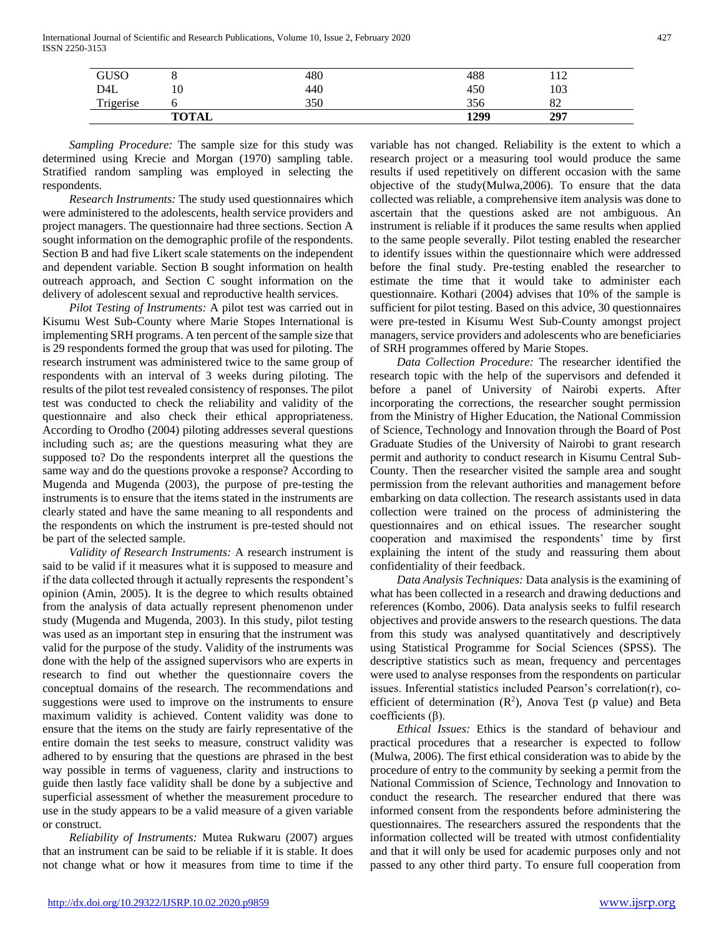International Journal of Scientific and Research Publications, Volume 10, Issue 2, February 2020 427 ISSN 2250-3153

| GUSO             |              | 480 | 488  | $1^{\circ}$<br>1 1 2 |  |
|------------------|--------------|-----|------|----------------------|--|
| D <sub>4</sub> L | 10           | 440 | 450  | 103                  |  |
| Trigerise        |              | 350 | 356  | oኅ<br>ΟZ             |  |
|                  | <b>TOTAL</b> |     | 1299 | 297                  |  |

 *Sampling Procedure:* The sample size for this study was determined using Krecie and Morgan (1970) sampling table. Stratified random sampling was employed in selecting the respondents.

 *Research Instruments:* The study used questionnaires which were administered to the adolescents, health service providers and project managers. The questionnaire had three sections. Section A sought information on the demographic profile of the respondents. Section B and had five Likert scale statements on the independent and dependent variable. Section B sought information on health outreach approach, and Section C sought information on the delivery of adolescent sexual and reproductive health services.

 *Pilot Testing of Instruments:* A pilot test was carried out in Kisumu West Sub-County where Marie Stopes International is implementing SRH programs. A ten percent of the sample size that is 29 respondents formed the group that was used for piloting. The research instrument was administered twice to the same group of respondents with an interval of 3 weeks during piloting. The results of the pilot test revealed consistency of responses. The pilot test was conducted to check the reliability and validity of the questionnaire and also check their ethical appropriateness. According to Orodho (2004) piloting addresses several questions including such as; are the questions measuring what they are supposed to? Do the respondents interpret all the questions the same way and do the questions provoke a response? According to Mugenda and Mugenda (2003), the purpose of pre-testing the instruments is to ensure that the items stated in the instruments are clearly stated and have the same meaning to all respondents and the respondents on which the instrument is pre-tested should not be part of the selected sample.

 *Validity of Research Instruments:* A research instrument is said to be valid if it measures what it is supposed to measure and if the data collected through it actually represents the respondent's opinion (Amin, 2005). It is the degree to which results obtained from the analysis of data actually represent phenomenon under study (Mugenda and Mugenda, 2003). In this study, pilot testing was used as an important step in ensuring that the instrument was valid for the purpose of the study. Validity of the instruments was done with the help of the assigned supervisors who are experts in research to find out whether the questionnaire covers the conceptual domains of the research. The recommendations and suggestions were used to improve on the instruments to ensure maximum validity is achieved. Content validity was done to ensure that the items on the study are fairly representative of the entire domain the test seeks to measure, construct validity was adhered to by ensuring that the questions are phrased in the best way possible in terms of vagueness, clarity and instructions to guide then lastly face validity shall be done by a subjective and superficial assessment of whether the measurement procedure to use in the study appears to be a valid measure of a given variable or construct.

 *Reliability of Instruments:* Mutea Rukwaru (2007) argues that an instrument can be said to be reliable if it is stable. It does not change what or how it measures from time to time if the variable has not changed. Reliability is the extent to which a research project or a measuring tool would produce the same results if used repetitively on different occasion with the same objective of the study(Mulwa,2006). To ensure that the data collected was reliable, a comprehensive item analysis was done to ascertain that the questions asked are not ambiguous. An instrument is reliable if it produces the same results when applied to the same people severally. Pilot testing enabled the researcher to identify issues within the questionnaire which were addressed before the final study. Pre-testing enabled the researcher to estimate the time that it would take to administer each questionnaire. Kothari (2004) advises that 10% of the sample is sufficient for pilot testing. Based on this advice, 30 questionnaires were pre-tested in Kisumu West Sub-County amongst project managers, service providers and adolescents who are beneficiaries of SRH programmes offered by Marie Stopes.

 *Data Collection Procedure:* The researcher identified the research topic with the help of the supervisors and defended it before a panel of University of Nairobi experts. After incorporating the corrections, the researcher sought permission from the Ministry of Higher Education, the National Commission of Science, Technology and Innovation through the Board of Post Graduate Studies of the University of Nairobi to grant research permit and authority to conduct research in Kisumu Central Sub-County. Then the researcher visited the sample area and sought permission from the relevant authorities and management before embarking on data collection. The research assistants used in data collection were trained on the process of administering the questionnaires and on ethical issues. The researcher sought cooperation and maximised the respondents' time by first explaining the intent of the study and reassuring them about confidentiality of their feedback.

 *Data Analysis Techniques:* Data analysis is the examining of what has been collected in a research and drawing deductions and references (Kombo, 2006). Data analysis seeks to fulfil research objectives and provide answers to the research questions. The data from this study was analysed quantitatively and descriptively using Statistical Programme for Social Sciences (SPSS). The descriptive statistics such as mean, frequency and percentages were used to analyse responses from the respondents on particular issues. Inferential statistics included Pearson's correlation(r), coefficient of determination  $(R^2)$ , Anova Test (p value) and Beta coefficients  $(β)$ .

 *Ethical Issues:* Ethics is the standard of behaviour and practical procedures that a researcher is expected to follow (Mulwa, 2006). The first ethical consideration was to abide by the procedure of entry to the community by seeking a permit from the National Commission of Science, Technology and Innovation to conduct the research. The researcher endured that there was informed consent from the respondents before administering the questionnaires. The researchers assured the respondents that the information collected will be treated with utmost confidentiality and that it will only be used for academic purposes only and not passed to any other third party. To ensure full cooperation from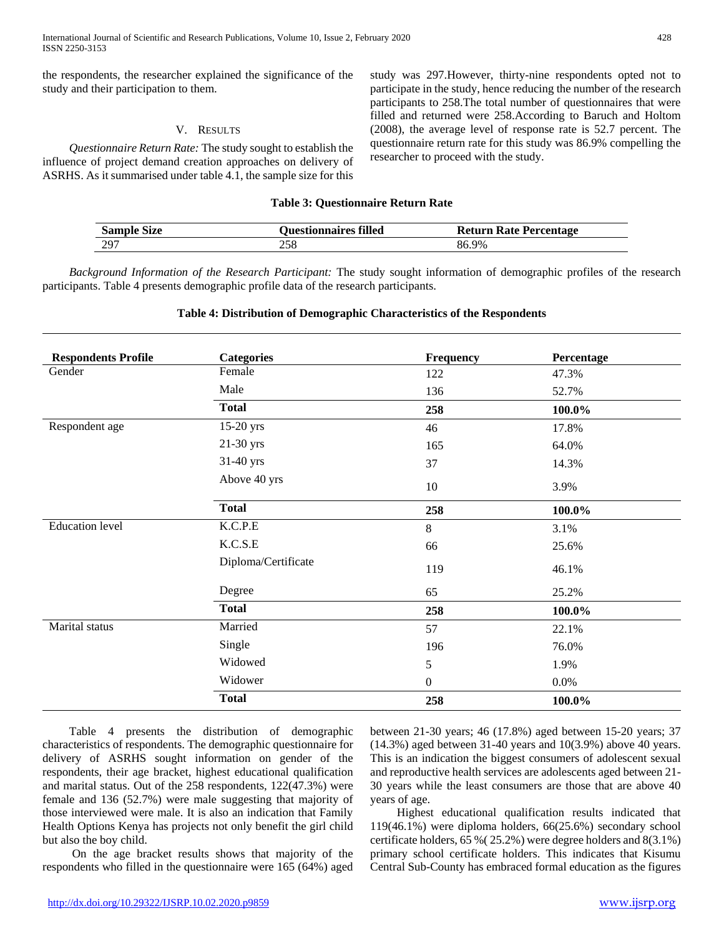International Journal of Scientific and Research Publications, Volume 10, Issue 2, February 2020 428 ISSN 2250-3153

the respondents, the researcher explained the significance of the study and their participation to them.

#### V. RESULTS

 *Questionnaire Return Rate:* The study sought to establish the influence of project demand creation approaches on delivery of ASRHS. As it summarised under table 4.1, the sample size for this

study was 297.However, thirty-nine respondents opted not to participate in the study, hence reducing the number of the research participants to 258.The total number of questionnaires that were filled and returned were 258.According to Baruch and Holtom (2008), the average level of response rate is 52.7 percent. The questionnaire return rate for this study was 86.9% compelling the researcher to proceed with the study.

#### **Table 3: Questionnaire Return Rate**

| <b>Sample Size</b> | <b>Questionnaires filled</b> | <b>Return Rate Percentage</b> |
|--------------------|------------------------------|-------------------------------|
| -297               | 258                          | 86.9%                         |

 *Background Information of the Research Participant:* The study sought information of demographic profiles of the research participants. Table 4 presents demographic profile data of the research participants.

# **Table 4: Distribution of Demographic Characteristics of the Respondents**

| <b>Respondents Profile</b> | <b>Categories</b>   | Frequency        | Percentage |  |
|----------------------------|---------------------|------------------|------------|--|
| Gender                     | Female              | 122              | 47.3%      |  |
|                            | Male                | 136              | 52.7%      |  |
|                            | <b>Total</b>        | 258              | 100.0%     |  |
| Respondent age             | $15-20$ yrs         | 46               | 17.8%      |  |
|                            | 21-30 yrs           | 165              | 64.0%      |  |
|                            | 31-40 yrs           | 37               | 14.3%      |  |
|                            | Above 40 yrs        | 10               | 3.9%       |  |
|                            | <b>Total</b>        | 258              | 100.0%     |  |
| <b>Education</b> level     | K.C.P.E             | 8                | 3.1%       |  |
|                            | K.C.S.E             | 66               | 25.6%      |  |
|                            | Diploma/Certificate | 119              | 46.1%      |  |
|                            | Degree              | 65               | 25.2%      |  |
|                            | <b>Total</b>        | 258              | 100.0%     |  |
| Marital status             | Married             | 57               | 22.1%      |  |
|                            | Single              | 196              | 76.0%      |  |
|                            | Widowed             | 5                | 1.9%       |  |
|                            | Widower             | $\boldsymbol{0}$ | 0.0%       |  |
|                            | <b>Total</b>        | 258              | 100.0%     |  |

 Table 4 presents the distribution of demographic characteristics of respondents. The demographic questionnaire for delivery of ASRHS sought information on gender of the respondents, their age bracket, highest educational qualification and marital status. Out of the 258 respondents, 122(47.3%) were female and 136 (52.7%) were male suggesting that majority of those interviewed were male. It is also an indication that Family Health Options Kenya has projects not only benefit the girl child but also the boy child.

 On the age bracket results shows that majority of the respondents who filled in the questionnaire were 165 (64%) aged between 21-30 years; 46 (17.8%) aged between 15-20 years; 37 (14.3%) aged between 31-40 years and 10(3.9%) above 40 years. This is an indication the biggest consumers of adolescent sexual and reproductive health services are adolescents aged between 21- 30 years while the least consumers are those that are above 40 years of age.

 Highest educational qualification results indicated that 119(46.1%) were diploma holders, 66(25.6%) secondary school certificate holders, 65 %( 25.2%) were degree holders and 8(3.1%) primary school certificate holders. This indicates that Kisumu Central Sub-County has embraced formal education as the figures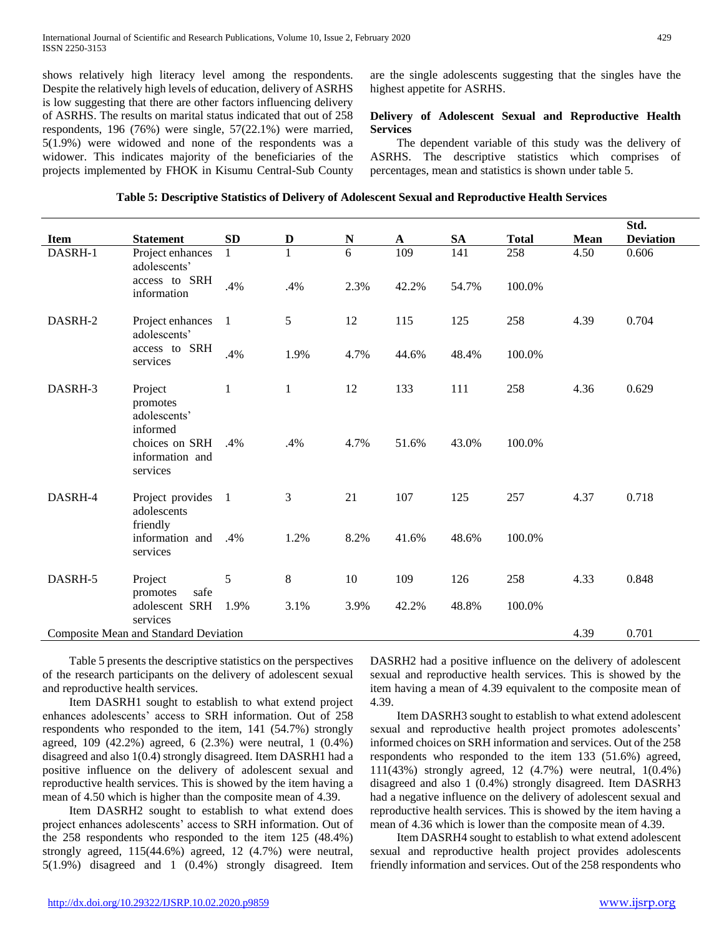shows relatively high literacy level among the respondents. Despite the relatively high levels of education, delivery of ASRHS is low suggesting that there are other factors influencing delivery of ASRHS. The results on marital status indicated that out of 258 respondents, 196 (76%) were single, 57(22.1%) were married, 5(1.9%) were widowed and none of the respondents was a widower. This indicates majority of the beneficiaries of the projects implemented by FHOK in Kisumu Central-Sub County are the single adolescents suggesting that the singles have the highest appetite for ASRHS.

## **Delivery of Adolescent Sexual and Reproductive Health Services**

 The dependent variable of this study was the delivery of ASRHS. The descriptive statistics which comprises of percentages, mean and statistics is shown under table 5.

|  |  |  |  |  |  |  | Table 5: Descriptive Statistics of Delivery of Adolescent Sexual and Reproductive Health Services |  |  |  |  |
|--|--|--|--|--|--|--|---------------------------------------------------------------------------------------------------|--|--|--|--|
|--|--|--|--|--|--|--|---------------------------------------------------------------------------------------------------|--|--|--|--|

|             |                                                           |              |              |           |             |       |              |             | Std.             |
|-------------|-----------------------------------------------------------|--------------|--------------|-----------|-------------|-------|--------------|-------------|------------------|
| <b>Item</b> | <b>Statement</b>                                          | SD           | $\mathbf D$  | ${\bf N}$ | $\mathbf A$ | SA    | <b>Total</b> | <b>Mean</b> | <b>Deviation</b> |
| DASRH-1     | Project enhances<br>adolescents'                          | $\mathbf{1}$ | $\mathbf{1}$ | 6         | 109         | 141   | 258          | 4.50        | 0.606            |
|             | access to SRH<br>information                              | .4%          | .4%          | 2.3%      | 42.2%       | 54.7% | 100.0%       |             |                  |
| DASRH-2     | Project enhances<br>adolescents'                          | $\mathbf{1}$ | 5            | 12        | 115         | 125   | 258          | 4.39        | 0.704            |
|             | access to SRH<br>services                                 | .4%          | 1.9%         | 4.7%      | 44.6%       | 48.4% | 100.0%       |             |                  |
| DASRH-3     | Project<br>promotes<br>adolescents'                       | $\mathbf{1}$ | $\mathbf{1}$ | 12        | 133         | 111   | 258          | 4.36        | 0.629            |
|             | informed<br>choices on SRH<br>information and<br>services | .4%          | .4%          | 4.7%      | 51.6%       | 43.0% | 100.0%       |             |                  |
| DASRH-4     | Project provides 1<br>adolescents<br>friendly             |              | 3            | 21        | 107         | 125   | 257          | 4.37        | 0.718            |
|             | information and<br>services                               | .4%          | 1.2%         | 8.2%      | 41.6%       | 48.6% | 100.0%       |             |                  |
| DASRH-5     | Project<br>safe<br>promotes                               | 5            | 8            | 10        | 109         | 126   | 258          | 4.33        | 0.848            |
|             | adolescent SRH<br>services                                | 1.9%         | 3.1%         | 3.9%      | 42.2%       | 48.8% | 100.0%       |             |                  |
|             | Composite Mean and Standard Deviation                     |              |              |           |             |       |              | 4.39        | 0.701            |

 Table 5 presents the descriptive statistics on the perspectives of the research participants on the delivery of adolescent sexual and reproductive health services.

 Item DASRH1 sought to establish to what extend project enhances adolescents' access to SRH information. Out of 258 respondents who responded to the item, 141 (54.7%) strongly agreed, 109 (42.2%) agreed, 6 (2.3%) were neutral, 1 (0.4%) disagreed and also 1(0.4) strongly disagreed. Item DASRH1 had a positive influence on the delivery of adolescent sexual and reproductive health services. This is showed by the item having a mean of 4.50 which is higher than the composite mean of 4.39.

 Item DASRH2 sought to establish to what extend does project enhances adolescents' access to SRH information. Out of the 258 respondents who responded to the item 125 (48.4%) strongly agreed, 115(44.6%) agreed, 12 (4.7%) were neutral, 5(1.9%) disagreed and 1 (0.4%) strongly disagreed. Item

DASRH2 had a positive influence on the delivery of adolescent sexual and reproductive health services. This is showed by the item having a mean of 4.39 equivalent to the composite mean of 4.39.

 Item DASRH3 sought to establish to what extend adolescent sexual and reproductive health project promotes adolescents' informed choices on SRH information and services. Out of the 258 respondents who responded to the item 133 (51.6%) agreed, 111(43%) strongly agreed, 12 (4.7%) were neutral, 1(0.4%) disagreed and also 1 (0.4%) strongly disagreed. Item DASRH3 had a negative influence on the delivery of adolescent sexual and reproductive health services. This is showed by the item having a mean of 4.36 which is lower than the composite mean of 4.39.

 Item DASRH4 sought to establish to what extend adolescent sexual and reproductive health project provides adolescents friendly information and services. Out of the 258 respondents who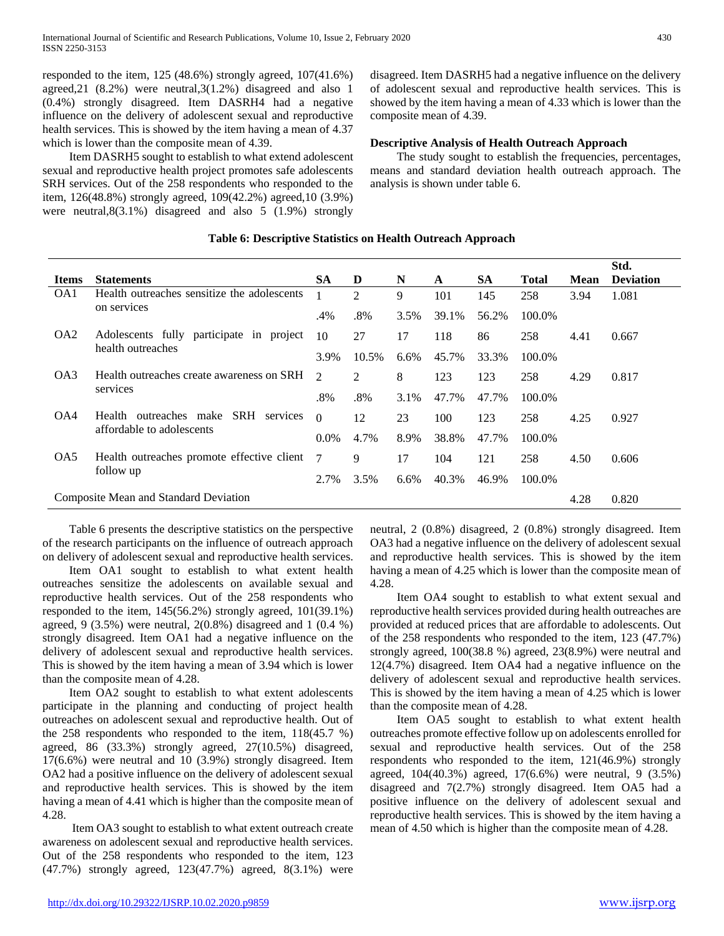responded to the item, 125 (48.6%) strongly agreed, 107(41.6%) agreed,21 (8.2%) were neutral,3(1.2%) disagreed and also 1 (0.4%) strongly disagreed. Item DASRH4 had a negative influence on the delivery of adolescent sexual and reproductive health services. This is showed by the item having a mean of 4.37 which is lower than the composite mean of 4.39.

 Item DASRH5 sought to establish to what extend adolescent sexual and reproductive health project promotes safe adolescents SRH services. Out of the 258 respondents who responded to the item, 126(48.8%) strongly agreed, 109(42.2%) agreed,10 (3.9%) were neutral,8(3.1%) disagreed and also 5 (1.9%) strongly

disagreed. Item DASRH5 had a negative influence on the delivery of adolescent sexual and reproductive health services. This is showed by the item having a mean of 4.33 which is lower than the composite mean of 4.39.

## **Descriptive Analysis of Health Outreach Approach**

 The study sought to establish the frequencies, percentages, means and standard deviation health outreach approach. The analysis is shown under table 6.

# **Table 6: Descriptive Statistics on Health Outreach Approach**

|                                                  |                                                            |           |                |       |       |           |              |             | Std.             |
|--------------------------------------------------|------------------------------------------------------------|-----------|----------------|-------|-------|-----------|--------------|-------------|------------------|
| <b>Items</b>                                     | <b>Statements</b>                                          | <b>SA</b> | D              | N     | A     | <b>SA</b> | <b>Total</b> | <b>Mean</b> | <b>Deviation</b> |
| OA1                                              | Health outreaches sensitize the adolescents<br>on services |           | $\overline{2}$ | 9     | 101   | 145       | 258          | 3.94        | 1.081            |
|                                                  |                                                            | .4%       | .8%            | 3.5%  | 39.1% | 56.2%     | 100.0%       |             |                  |
| OA <sub>2</sub>                                  | Adolescents fully participate<br>in<br>project             | 10        | 27             | 17    | 118   | 86        | 258          | 4.41        | 0.667            |
| health outreaches                                | 3.9%                                                       | 10.5%     | $6.6\%$        | 45.7% | 33.3% | 100.0%    |              |             |                  |
| OA3<br>Health outreaches create awareness on SRH |                                                            | 2         | 2              | 8     | 123   | 123       | 258          | 4.29        | 0.817            |
|                                                  | services                                                   | .8%       | .8%            | 3.1%  | 47.7% | 47.7%     | 100.0%       |             |                  |
| OA4                                              | <b>SRH</b><br>outreaches make<br>Health<br>services        | $\Omega$  | 12             | 23    | 100   | 123       | 258          | 4.25        | 0.927            |
|                                                  | affordable to adolescents                                  | $0.0\%$   | 4.7%           | 8.9%  | 38.8% | 47.7%     | 100.0%       |             |                  |
| OA5                                              | Health outreaches promote effective client                 | 7         | 9              | 17    | 104   | 121       | 258          | 4.50        | 0.606            |
| follow up                                        |                                                            | 2.7%      | 3.5%           | 6.6%  | 40.3% | 46.9%     | 100.0%       |             |                  |
|                                                  | Composite Mean and Standard Deviation                      |           |                |       |       |           |              | 4.28        | 0.820            |

 Table 6 presents the descriptive statistics on the perspective of the research participants on the influence of outreach approach on delivery of adolescent sexual and reproductive health services.

 Item OA1 sought to establish to what extent health outreaches sensitize the adolescents on available sexual and reproductive health services. Out of the 258 respondents who responded to the item, 145(56.2%) strongly agreed, 101(39.1%) agreed, 9 (3.5%) were neutral, 2(0.8%) disagreed and 1 (0.4 %) strongly disagreed. Item OA1 had a negative influence on the delivery of adolescent sexual and reproductive health services. This is showed by the item having a mean of 3.94 which is lower than the composite mean of 4.28.

 Item OA2 sought to establish to what extent adolescents participate in the planning and conducting of project health outreaches on adolescent sexual and reproductive health. Out of the 258 respondents who responded to the item, 118(45.7 %) agreed, 86 (33.3%) strongly agreed, 27(10.5%) disagreed, 17(6.6%) were neutral and 10 (3.9%) strongly disagreed. Item OA2 had a positive influence on the delivery of adolescent sexual and reproductive health services. This is showed by the item having a mean of 4.41 which is higher than the composite mean of 4.28.

 Item OA3 sought to establish to what extent outreach create awareness on adolescent sexual and reproductive health services. Out of the 258 respondents who responded to the item, 123 (47.7%) strongly agreed, 123(47.7%) agreed, 8(3.1%) were neutral, 2 (0.8%) disagreed, 2 (0.8%) strongly disagreed. Item OA3 had a negative influence on the delivery of adolescent sexual and reproductive health services. This is showed by the item having a mean of 4.25 which is lower than the composite mean of 4.28.

 Item OA4 sought to establish to what extent sexual and reproductive health services provided during health outreaches are provided at reduced prices that are affordable to adolescents. Out of the 258 respondents who responded to the item, 123 (47.7%) strongly agreed, 100(38.8 %) agreed, 23(8.9%) were neutral and 12(4.7%) disagreed. Item OA4 had a negative influence on the delivery of adolescent sexual and reproductive health services. This is showed by the item having a mean of 4.25 which is lower than the composite mean of 4.28.

 Item OA5 sought to establish to what extent health outreaches promote effective follow up on adolescents enrolled for sexual and reproductive health services. Out of the 258 respondents who responded to the item, 121(46.9%) strongly agreed, 104(40.3%) agreed, 17(6.6%) were neutral, 9 (3.5%) disagreed and 7(2.7%) strongly disagreed. Item OA5 had a positive influence on the delivery of adolescent sexual and reproductive health services. This is showed by the item having a mean of 4.50 which is higher than the composite mean of 4.28.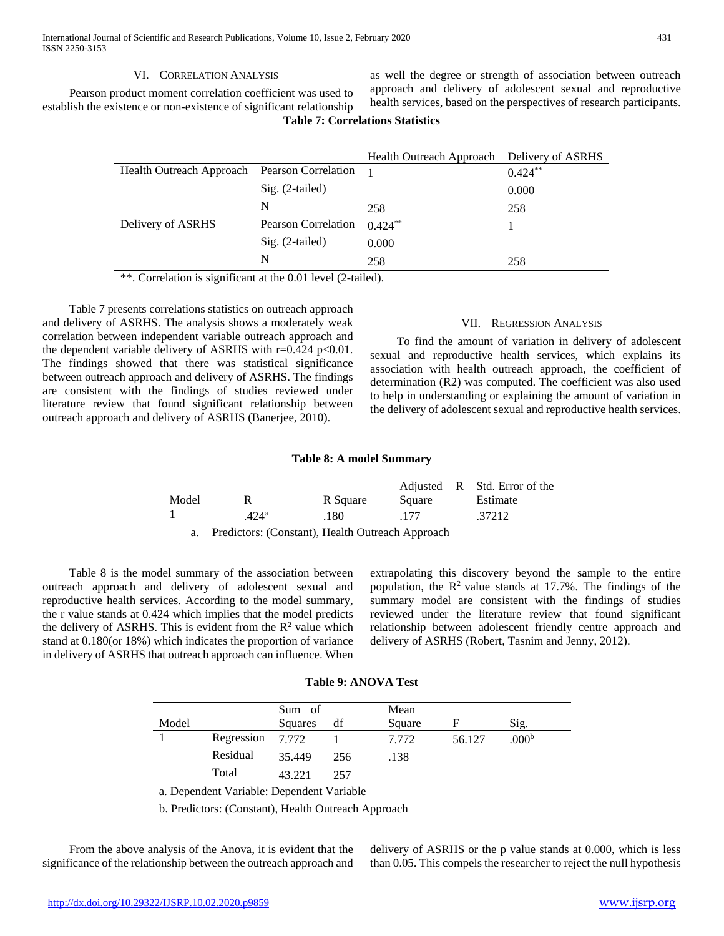# VI. CORRELATION ANALYSIS

 Pearson product moment correlation coefficient was used to establish the existence or non-existence of significant relationship

as well the degree or strength of association between outreach approach and delivery of adolescent sexual and reproductive health services, based on the perspectives of research participants.

# **Table 7: Correlations Statistics**

|                                              |                            | <b>Health Outreach Approach</b> | Delivery of ASRHS |
|----------------------------------------------|----------------------------|---------------------------------|-------------------|
| Health Outreach Approach Pearson Correlation |                            |                                 | $0.424***$        |
|                                              | $Sig. (2-tailed)$          |                                 | 0.000             |
|                                              | N                          | 258                             | 258               |
| Delivery of ASRHS                            | <b>Pearson Correlation</b> | $0.424**$                       |                   |
|                                              | $Sig. (2-tailed)$          | 0.000                           |                   |
|                                              | N                          | 258                             | 258               |

\*\*. Correlation is significant at the 0.01 level (2-tailed).

 Table 7 presents correlations statistics on outreach approach and delivery of ASRHS. The analysis shows a moderately weak correlation between independent variable outreach approach and the dependent variable delivery of ASRHS with  $r=0.424$  p<0.01. The findings showed that there was statistical significance between outreach approach and delivery of ASRHS. The findings are consistent with the findings of studies reviewed under literature review that found significant relationship between outreach approach and delivery of ASRHS (Banerjee, 2010).

#### VII. REGRESSION ANALYSIS

 To find the amount of variation in delivery of adolescent sexual and reproductive health services, which explains its association with health outreach approach, the coefficient of determination (R2) was computed. The coefficient was also used to help in understanding or explaining the amount of variation in the delivery of adolescent sexual and reproductive health services.

#### **Table 8: A model Summary**

| Model |                | R Square | Square | Adjusted R Std. Error of the<br>Estimate |
|-------|----------------|----------|--------|------------------------------------------|
|       | $.424^{\rm a}$ | 180      |        | .37212                                   |

a. Predictors: (Constant), Health Outreach Approach

 Table 8 is the model summary of the association between outreach approach and delivery of adolescent sexual and reproductive health services. According to the model summary, the r value stands at 0.424 which implies that the model predicts the delivery of ASRHS. This is evident from the  $\mathbb{R}^2$  value which stand at 0.180(or 18%) which indicates the proportion of variance in delivery of ASRHS that outreach approach can influence. When

extrapolating this discovery beyond the sample to the entire population, the  $\mathbb{R}^2$  value stands at 17.7%. The findings of the summary model are consistent with the findings of studies reviewed under the literature review that found significant relationship between adolescent friendly centre approach and delivery of ASRHS (Robert, Tasnim and Jenny, 2012).

## **Table 9: ANOVA Test**

|       |                  | Sum of  |     | Mean   |        |                   |
|-------|------------------|---------|-----|--------|--------|-------------------|
| Model |                  | Squares | df  | Square | н      | Sig.              |
|       | Regression 7.772 |         |     | 7.772  | 56.127 | .000 <sup>b</sup> |
|       | Residual         | 35.449  | 256 | .138   |        |                   |
|       | Total            | 43.221  | 257 |        |        |                   |

a. Dependent Variable: Dependent Variable

b. Predictors: (Constant), Health Outreach Approach

 From the above analysis of the Anova, it is evident that the significance of the relationship between the outreach approach and

delivery of ASRHS or the p value stands at 0.000, which is less than 0.05. This compels the researcher to reject the null hypothesis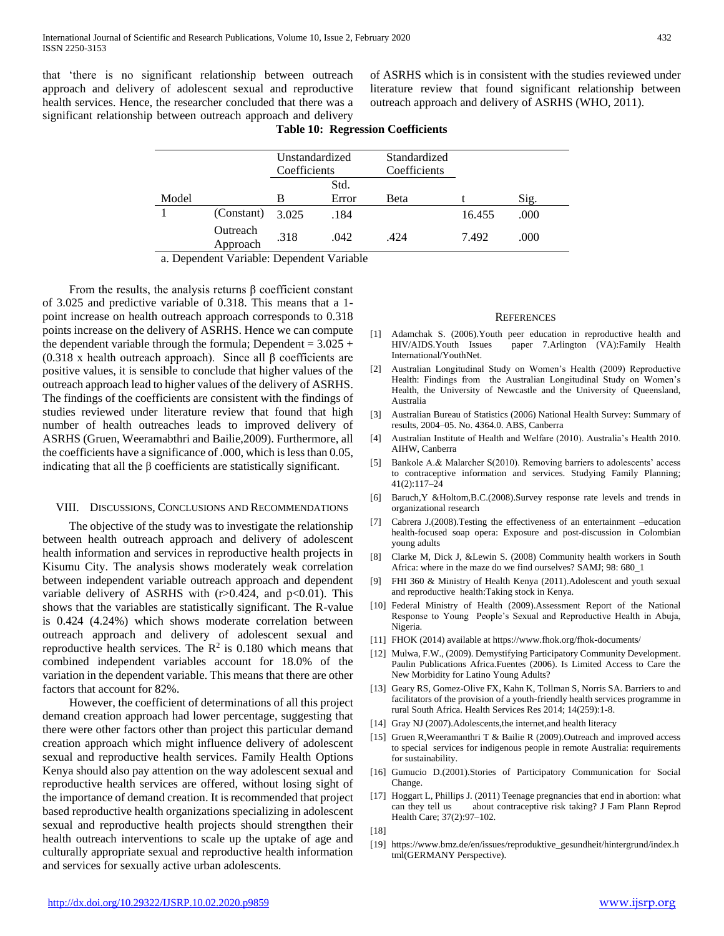that 'there is no significant relationship between outreach approach and delivery of adolescent sexual and reproductive health services. Hence, the researcher concluded that there was a significant relationship between outreach approach and delivery

of ASRHS which is in consistent with the studies reviewed under literature review that found significant relationship between outreach approach and delivery of ASRHS (WHO, 2011).

|       |                      | Unstandardized<br>Coefficients |       | Standardized<br>Coefficients |        |      |
|-------|----------------------|--------------------------------|-------|------------------------------|--------|------|
|       |                      |                                | Std.  |                              |        |      |
| Model |                      | B                              | Error | Beta                         |        | Sig. |
|       | (Constant)           | 3.025                          | .184  |                              | 16.455 | .000 |
|       | Outreach<br>Approach | .318                           | .042  | .424                         | 7.492  | .000 |

**Table 10: Regression Coefficients**

a. Dependent Variable: Dependent Variable

From the results, the analysis returns  $\beta$  coefficient constant of 3.025 and predictive variable of 0.318. This means that a 1 point increase on health outreach approach corresponds to 0.318 points increase on the delivery of ASRHS. Hence we can compute the dependent variable through the formula; Dependent =  $3.025 +$ (0.318 x health outreach approach). Since all β coefficients are positive values, it is sensible to conclude that higher values of the outreach approach lead to higher values of the delivery of ASRHS. The findings of the coefficients are consistent with the findings of studies reviewed under literature review that found that high number of health outreaches leads to improved delivery of ASRHS (Gruen, Weeramabthri and Bailie,2009). Furthermore, all the coefficients have a significance of .000, which is less than 0.05, indicating that all the β coefficients are statistically significant.

#### VIII. DISCUSSIONS, CONCLUSIONS AND RECOMMENDATIONS

 The objective of the study was to investigate the relationship between health outreach approach and delivery of adolescent health information and services in reproductive health projects in Kisumu City. The analysis shows moderately weak correlation between independent variable outreach approach and dependent variable delivery of ASRHS with  $(r>0.424$ , and  $p<0.01$ ). This shows that the variables are statistically significant. The R-value is 0.424 (4.24%) which shows moderate correlation between outreach approach and delivery of adolescent sexual and reproductive health services. The  $\mathbb{R}^2$  is 0.180 which means that combined independent variables account for 18.0% of the variation in the dependent variable. This means that there are other factors that account for 82%.

 However, the coefficient of determinations of all this project demand creation approach had lower percentage, suggesting that there were other factors other than project this particular demand creation approach which might influence delivery of adolescent sexual and reproductive health services. Family Health Options Kenya should also pay attention on the way adolescent sexual and reproductive health services are offered, without losing sight of the importance of demand creation. It is recommended that project based reproductive health organizations specializing in adolescent sexual and reproductive health projects should strengthen their health outreach interventions to scale up the uptake of age and culturally appropriate sexual and reproductive health information and services for sexually active urban adolescents.

#### **REFERENCES**

- [1] Adamchak S. (2006).Youth peer education in reproductive health and paper 7.Arlington (VA):Family Health International/YouthNet.
- [2] Australian Longitudinal Study on Women's Health (2009) Reproductive Health: Findings from the Australian Longitudinal Study on Women's Health, the University of Newcastle and the University of Queensland, Australia
- [3] Australian Bureau of Statistics (2006) National Health Survey: Summary of results, 2004–05. No. 4364.0. ABS, Canberra
- [4] Australian Institute of Health and Welfare (2010). Australia's Health 2010. AIHW, Canberra
- [5] Bankole A.& Malarcher S(2010). Removing barriers to adolescents' access to contraceptive information and services. Studying Family Planning; 41(2):117–24
- [6] Baruch,Y &Holtom,B.C.(2008).Survey response rate levels and trends in organizational research
- [7] Cabrera J.(2008).Testing the effectiveness of an entertainment –education health-focused soap opera: Exposure and post-discussion in Colombian young adults
- [8] Clarke M, Dick J, &Lewin S. (2008) Community health workers in South Africa: where in the maze do we find ourselves? SAMJ; 98: 680\_1
- [9] FHI 360 & Ministry of Health Kenya (2011).Adolescent and youth sexual and reproductive health:Taking stock in Kenya.
- [10] Federal Ministry of Health (2009).Assessment Report of the National Response to Young People's Sexual and Reproductive Health in Abuja, Nigeria.
- [11] FHOK (2014) available at https://www.fhok.org/fhok-documents/
- [12] Mulwa, F.W., (2009). Demystifying Participatory Community Development. Paulin Publications Africa.Fuentes (2006). Is Limited Access to Care the New Morbidity for Latino Young Adults?
- [13] Geary RS, Gomez-Olive FX, Kahn K, Tollman S, Norris SA. Barriers to and facilitators of the provision of a youth-friendly health services programme in rural South Africa. Health Services Res 2014; 14(259):1-8.
- [14] Gray NJ (2007).Adolescents,the internet,and health literacy
- [15] Gruen R, Weeramanthri T & Bailie R (2009). Outreach and improved access to special services for indigenous people in remote Australia: requirements for sustainability.
- [16] Gumucio D.(2001).Stories of Participatory Communication for Social Change.
- [17] Hoggart L, Phillips J. (2011) Teenage pregnancies that end in abortion: what can they tell us about contraceptive risk taking? J Fam Plann Reprod Health Care; 37(2):97–102.

[19] https://www.bmz.de/en/issues/reproduktive\_gesundheit/hintergrund/index.h tml(GERMANY Perspective).

<sup>[18]</sup>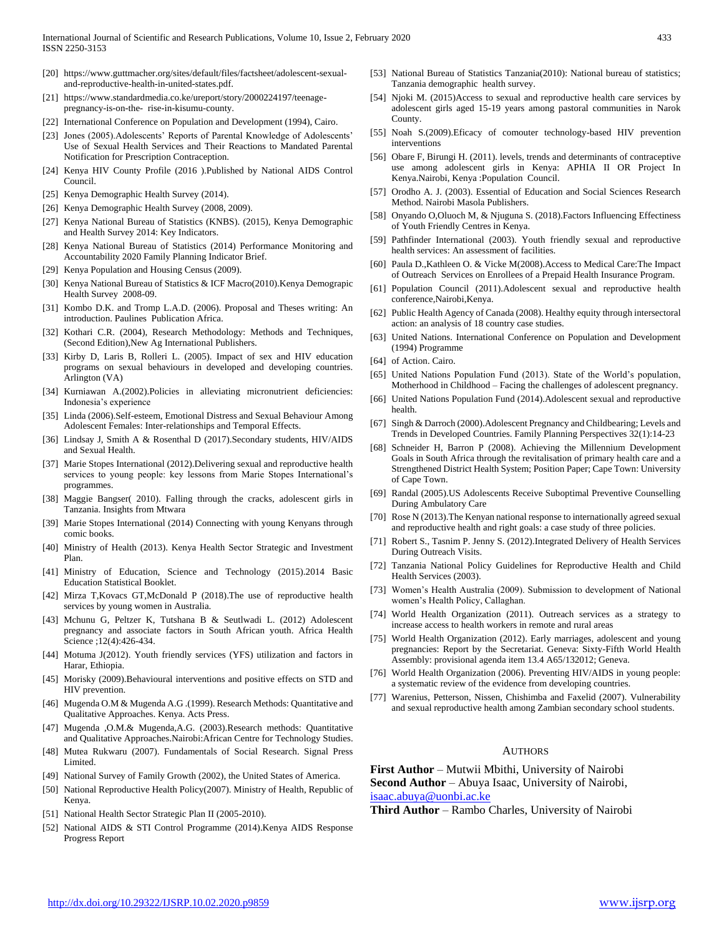- [20] https://www.guttmacher.org/sites/default/files/factsheet/adolescent-sexualand-reproductive-health-in-united-states.pdf.
- [21] https://www.standardmedia.co.ke/ureport/story/2000224197/teenagepregnancy-is-on-the- rise-in-kisumu-county.
- [22] International Conference on Population and Development (1994), Cairo.
- [23] Jones (2005).Adolescents' Reports of Parental Knowledge of Adolescents' Use of Sexual Health Services and Their Reactions to Mandated Parental Notification for Prescription Contraception.
- [24] Kenya HIV County Profile (2016 ).Published by National AIDS Control Council.
- [25] Kenya Demographic Health Survey (2014).
- [26] Kenya Demographic Health Survey (2008, 2009).
- [27] Kenya National Bureau of Statistics (KNBS). (2015), Kenya Demographic and Health Survey 2014: Key Indicators.
- [28] Kenya National Bureau of Statistics (2014) Performance Monitoring and Accountability 2020 Family Planning Indicator Brief.
- [29] Kenya Population and Housing Census (2009).
- [30] Kenya National Bureau of Statistics & ICF Macro(2010).Kenya Demograpic Health Survey 2008-09.
- [31] Kombo D.K. and Tromp L.A.D. (2006). Proposal and Theses writing: An introduction. Paulines Publication Africa.
- [32] Kothari C.R. (2004), Research Methodology: Methods and Techniques, (Second Edition),New Ag International Publishers.
- [33] Kirby D, Laris B, Rolleri L. (2005). Impact of sex and HIV education programs on sexual behaviours in developed and developing countries. Arlington (VA)
- [34] Kurniawan A.(2002).Policies in alleviating micronutrient deficiencies: Indonesia's experience
- [35] Linda (2006).Self-esteem, Emotional Distress and Sexual Behaviour Among Adolescent Females: Inter-relationships and Temporal Effects.
- [36] Lindsay J, Smith A & Rosenthal D (2017). Secondary students, HIV/AIDS and Sexual Health.
- [37] Marie Stopes International (2012).Delivering sexual and reproductive health services to young people: key lessons from Marie Stopes International's programmes.
- [38] Maggie Bangser( 2010). Falling through the cracks, adolescent girls in Tanzania. Insights from Mtwara
- [39] Marie Stopes International (2014) Connecting with young Kenyans through comic books.
- [40] Ministry of Health (2013). Kenya Health Sector Strategic and Investment Plan.
- [41] Ministry of Education, Science and Technology (2015).2014 Basic Education Statistical Booklet.
- [42] Mirza T,Kovacs GT,McDonald P (2018).The use of reproductive health services by young women in Australia.
- [43] Mchunu G, Peltzer K, Tutshana B & Seutlwadi L. (2012) Adolescent pregnancy and associate factors in South African youth. Africa Health Science ;12(4):426-434.
- [44] Motuma J(2012). Youth friendly services (YFS) utilization and factors in Harar, Ethiopia.
- [45] Morisky (2009).Behavioural interventions and positive effects on STD and HIV prevention.
- [46] Mugenda O.M & Mugenda A.G .(1999). Research Methods: Quantitative and Qualitative Approaches. Kenya. Acts Press.
- [47] Mugenda ,O.M.& Mugenda,A.G. (2003).Research methods: Quantitative and Qualitative Approaches.Nairobi:African Centre for Technology Studies.
- [48] Mutea Rukwaru (2007). Fundamentals of Social Research. Signal Press Limited.
- [49] National Survey of Family Growth (2002), the United States of America.
- [50] National Reproductive Health Policy(2007). Ministry of Health, Republic of Kenya.
- [51] National Health Sector Strategic Plan II (2005-2010).
- [52] National AIDS & STI Control Programme (2014).Kenya AIDS Response Progress Report
- [53] National Bureau of Statistics Tanzania(2010): National bureau of statistics; Tanzania demographic health survey.
- [54] Njoki M. (2015)Access to sexual and reproductive health care services by adolescent girls aged 15-19 years among pastoral communities in Narok County.
- [55] Noah S.(2009).Eficacy of comouter technology-based HIV prevention interventions
- [56] Obare F, Birungi H. (2011). levels, trends and determinants of contraceptive use among adolescent girls in Kenya: APHIA II OR Project In Kenya.Nairobi, Kenya :Population Council.
- [57] Orodho A. J. (2003). Essential of Education and Social Sciences Research Method. Nairobi Masola Publishers.
- [58] Onyando O,Oluoch M, & Njuguna S. (2018).Factors Influencing Effectiness of Youth Friendly Centres in Kenya.
- [59] Pathfinder International (2003). Youth friendly sexual and reproductive health services: An assessment of facilities.
- [60] Paula D.,Kathleen O. & Vicke M(2008).Access to Medical Care:The Impact of Outreach Services on Enrollees of a Prepaid Health Insurance Program.
- [61] Population Council (2011).Adolescent sexual and reproductive health conference,Nairobi,Kenya.
- [62] Public Health Agency of Canada (2008). Healthy equity through intersectoral action: an analysis of 18 country case studies.
- [63] United Nations. International Conference on Population and Development (1994) Programme
- [64] of Action. Cairo.
- [65] United Nations Population Fund (2013). State of the World's population, Motherhood in Childhood – Facing the challenges of adolescent pregnancy.
- [66] United Nations Population Fund (2014). Adolescent sexual and reproductive health.
- [67] Singh & Darroch (2000).Adolescent Pregnancy and Childbearing; Levels and Trends in Developed Countries. Family Planning Perspectives 32(1):14-23
- [68] Schneider H, Barron P (2008). Achieving the Millennium Development Goals in South Africa through the revitalisation of primary health care and a Strengthened District Health System; Position Paper; Cape Town: University of Cape Town.
- [69] Randal (2005).US Adolescents Receive Suboptimal Preventive Counselling During Ambulatory Care
- [70] Rose N (2013).The Kenyan national response to internationally agreed sexual and reproductive health and right goals: a case study of three policies.
- [71] Robert S., Tasnim P. Jenny S. (2012).Integrated Delivery of Health Services During Outreach Visits.
- [72] Tanzania National Policy Guidelines for Reproductive Health and Child Health Services (2003).
- [73] Women's Health Australia (2009). Submission to development of National women's Health Policy, Callaghan.
- [74] World Health Organization (2011). Outreach services as a strategy to increase access to health workers in remote and rural areas
- [75] World Health Organization (2012). Early marriages, adolescent and young pregnancies: Report by the Secretariat. Geneva: Sixty-Fifth World Health Assembly: provisional agenda item 13.4 A65/132012; Geneva.
- [76] World Health Organization (2006). Preventing HIV/AIDS in young people: a systematic review of the evidence from developing countries.
- [77] Warenius, Petterson, Nissen, Chishimba and Faxelid (2007). Vulnerability and sexual reproductive health among Zambian secondary school students.

#### AUTHORS

**First Author** – Mutwii Mbithi, University of Nairobi **Second Author** – Abuya Isaac, University of Nairobi, [isaac.abuya@uonbi.ac.ke](mailto:isaac.abuya@uonbi.ac.ke)

**Third Author** – Rambo Charles, University of Nairobi